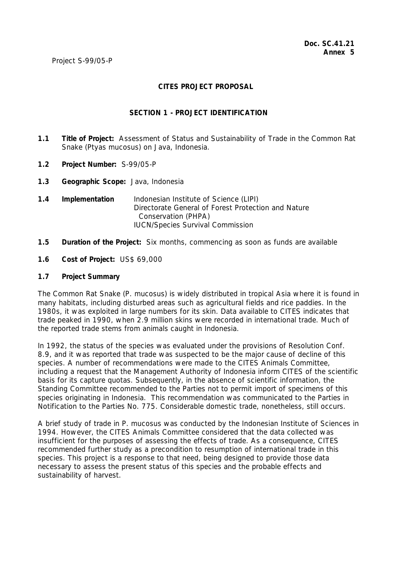# **CITES PROJECT PROPOSAL**

## **SECTION 1 - PROJECT IDENTIFICATION**

- **1.1 Title of Project:** Assessment of Status and Sustainability of Trade in the Common Rat Snake (*Ptyas mucosus*) on Java, Indonesia.
- **1.2 Project Number:** S-99/05-P
- **1.3 Geographic Scope:** Java, Indonesia
- **1.4 Implementation** Indonesian Institute of Science (LIPI) Directorate General of Forest Protection and Nature Conservation (PHPA) IUCN/Species Survival Commission
- **1.5 Duration of the Project:** Six months, commencing as soon as funds are available
- **1.6 Cost of Project:** US\$ 69,000

#### **1.7 Project Summary**

The Common Rat Snake (*P. mucosus*) is widely distributed in tropical Asia where it is found in many habitats, including disturbed areas such as agricultural fields and rice paddies. In the 1980s, it was exploited in large numbers for its skin. Data available to CITES indicates that trade peaked in 1990, when 2.9 million skins were recorded in international trade. Much of the reported trade stems from animals caught in Indonesia.

In 1992, the status of the species was evaluated under the provisions of Resolution Conf. 8.9, and it was reported that trade was suspected to be the major cause of decline of this species. A number of recommendations were made to the CITES Animals Committee, including a request that the Management Authority of Indonesia inform CITES of the scientific basis for its capture quotas. Subsequently, in the absence of scientific information, the Standing Committee recommended to the Parties not to permit import of specimens of this species originating in Indonesia. This recommendation was communicated to the Parties in Notification to the Parties No. 775. Considerable domestic trade, nonetheless, still occurs.

A brief study of trade in *P. mucosus* was conducted by the Indonesian Institute of Sciences in 1994. However, the CITES Animals Committee considered that the data collected was insufficient for the purposes of assessing the effects of trade. As a consequence, CITES recommended further study as a precondition to resumption of international trade in this species. This project is a response to that need, being designed to provide those data necessary to assess the present status of this species and the probable effects and sustainability of harvest.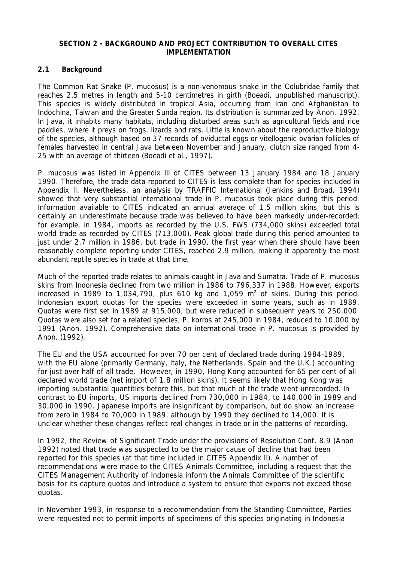## **SECTION 2 - BACKGROUND AND PROJECT CONTRIBUTION TO OVERALL CITES IMPLEMENTATION**

# **2.1 Background**

The Common Rat Snake (*P. mucosus*) is a non-venomous snake in the Colubridae family that reaches 2.5 metres in length and 5-10 centimetres in girth (Boeadi, unpublished manuscript). This species is widely distributed in tropical Asia, occurring from Iran and Afghanistan to Indochina, Taiwan and the Greater Sunda region. Its distribution is summarized by Anon. 1992. In Java, it inhabits many habitats, including disturbed areas such as agricultural fields and rice paddies, where it preys on frogs, lizards and rats. Little is known about the reproductive biology of the species, although based on 37 records of oviductal eggs or vitellogenic ovarian follicles of females harvested in central Java between November and January, clutch size ranged from 4- 25 with an average of thirteen (Boeadi et al., 1997).

*P. mucosus* was listed in Appendix III of CITES between 13 January 1984 and 18 January 1990. Therefore, the trade data reported to CITES is less complete than for species included in Appendix II. Nevertheless, an analysis by TRAFFIC International (Jenkins and Broad, 1994) showed that very substantial international trade in *P. mucosus* took place during this period. Information available to CITES indicated an annual average of 1.5 million skins, but this is certainly an underestimate because trade was believed to have been markedly under-recorded; for example, in 1984, imports as recorded by the U.S. FWS (734,000 skins) exceeded total world trade as recorded by CITES (713,000). Peak global trade during this period amounted to just under 2.7 million in 1986, but trade in 1990, the first year when there should have been reasonably complete reporting under CITES, reached 2.9 million, making it apparently the most abundant reptile species in trade at that time.

Much of the reported trade relates to animals caught in Java and Sumatra. Trade of *P. mucosus* skins from Indonesia declined from two million in 1986 to 796,337 in 1988. However, exports increased in 1989 to 1,034,790, plus 610 kg and 1,059  $m^2$  of skins. During this period, Indonesian export quotas for the species were exceeded in some years, such as in 1989. Quotas were first set in 1989 at 915,000, but were reduced in subsequent years to 250,000. Quotas were also set for a related species, *P. korros* at 245,000 in 1984, reduced to 10,000 by 1991 (Anon. 1992). Comprehensive data on international trade in *P. mucosus* is provided by Anon. (1992).

The EU and the USA accounted for over 70 per cent of declared trade during 1984-1989, with the EU alone (primarily Germany, Italy, the Netherlands, Spain and the U.K.) accounting for just over half of all trade. However, in 1990, Hong Kong accounted for 65 per cent of all declared world trade (net import of 1.8 million skins). It seems likely that Hong Kong was importing substantial quantities before this, but that much of the trade went unrecorded. In contrast to EU imports, US imports declined from 730,000 in 1984, to 140,000 in 1989 and 30,000 in 1990. Japanese imports are insignificant by comparison, but do show an increase from zero in 1984 to 70,000 in 1989, although by 1990 they declined to 14,000. It is unclear whether these changes reflect real changes in trade or in the patterns of recording.

In 1992, the Review of Significant Trade under the provisions of Resolution Conf. 8.9 (Anon 1992) noted that trade was suspected to be the major cause of decline that had been reported for this species (at that time included in CITES Appendix II). A number of recommendations were made to the CITES Animals Committee, including a request that the CITES Management Authority of Indonesia inform the Animals Committee of the scientific basis for its capture quotas and introduce a system to ensure that exports not exceed those quotas.

In November 1993, in response to a recommendation from the Standing Committee, Parties were requested not to permit imports of specimens of this species originating in Indonesia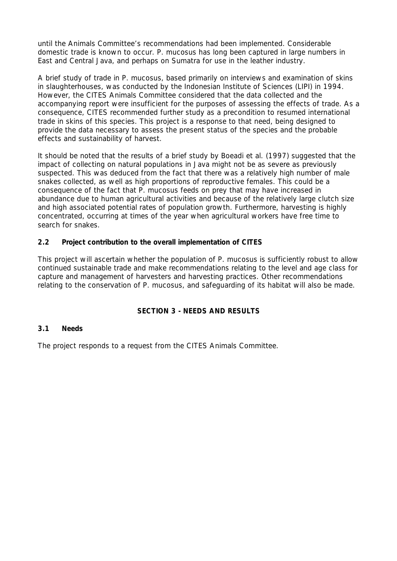until the Animals Committee's recommendations had been implemented. Considerable domestic trade is known to occur. *P. mucosus* has long been captured in large numbers in East and Central Java, and perhaps on Sumatra for use in the leather industry.

A brief study of trade in *P. mucosus*, based primarily on interviews and examination of skins in slaughterhouses, was conducted by the Indonesian Institute of Sciences (LIPI) in 1994. However, the CITES Animals Committee considered that the data collected and the accompanying report were insufficient for the purposes of assessing the effects of trade. As a consequence, CITES recommended further study as a precondition to resumed international trade in skins of this species. This project is a response to that need, being designed to provide the data necessary to assess the present status of the species and the probable effects and sustainability of harvest.

It should be noted that the results of a brief study by Boeadi et al. (1997) suggested that the impact of collecting on natural populations in Java might not be as severe as previously suspected. This was deduced from the fact that there was a relatively high number of male snakes collected, as well as high proportions of reproductive females. This could be a consequence of the fact that *P. mucosus* feeds on prey that may have increased in abundance due to human agricultural activities and because of the relatively large clutch size and high associated potential rates of population growth. Furthermore, harvesting is highly concentrated, occurring at times of the year when agricultural workers have free time to search for snakes.

# **2.2 Project contribution to the overall implementation of CITES**

This project will ascertain whether the population of *P. mucosus* is sufficiently robust to allow continued sustainable trade and make recommendations relating to the level and age class for capture and management of harvesters and harvesting practices. Other recommendations relating to the conservation of *P. mucosus*, and safeguarding of its habitat will also be made.

# **SECTION 3 - NEEDS AND RESULTS**

## **3.1 Needs**

The project responds to a request from the CITES Animals Committee.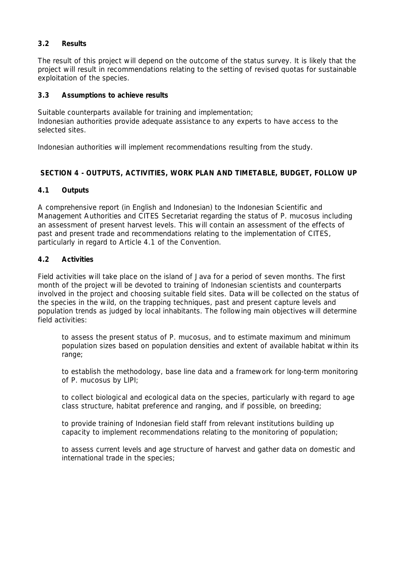# **3.2 Results**

The result of this project will depend on the outcome of the status survey. It is likely that the project will result in recommendations relating to the setting of revised quotas for sustainable exploitation of the species.

## **3.3 Assumptions to achieve results**

Suitable counterparts available for training and implementation; Indonesian authorities provide adequate assistance to any experts to have access to the selected sites.

Indonesian authorities will implement recommendations resulting from the study.

# **SECTION 4 - OUTPUTS, ACTIVITIES, WORK PLAN AND TIMETABLE, BUDGET, FOLLOW UP**

## **4.1 Outputs**

A comprehensive report (in English and Indonesian) to the Indonesian Scientific and Management Authorities and CITES Secretariat regarding the status of *P. mucosus* including an assessment of present harvest levels. This will contain an assessment of the effects of past and present trade and recommendations relating to the implementation of CITES, particularly in regard to Article 4.1 of the Convention.

#### **4.2 Activities**

Field activities will take place on the island of Java for a period of seven months. The first month of the project will be devoted to training of Indonesian scientists and counterparts involved in the project and choosing suitable field sites. Data will be collected on the status of the species in the wild, on the trapping techniques, past and present capture levels and population trends as judged by local inhabitants. The following main objectives will determine field activities:

 to assess the present status of *P. mucosus*, and to estimate maximum and minimum population sizes based on population densities and extent of available habitat within its range;

 to establish the methodology, base line data and a framework for long-term monitoring of *P. mucosus* by LIPI*;*

 to collect biological and ecological data on the species, particularly with regard to age class structure, habitat preference and ranging, and if possible, on breeding;

 to provide training of Indonesian field staff from relevant institutions building up capacity to implement recommendations relating to the monitoring of population;

 to assess current levels and age structure of harvest and gather data on domestic and international trade in the species;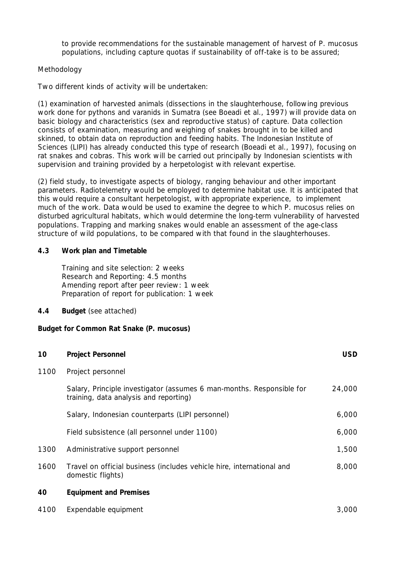to provide recommendations for the sustainable management of harvest of *P. mucosus*  populations, including capture quotas if sustainability of off-take is to be assured;

# *Methodology*

Two different kinds of activity will be undertaken:

(1) examination of harvested animals (dissections in the slaughterhouse, following previous work done for pythons and varanids in Sumatra (see Boeadi et al., 1997) will provide data on basic biology and characteristics (sex and reproductive status) of capture. Data collection consists of examination, measuring and weighing of snakes brought in to be killed and skinned, to obtain data on reproduction and feeding habits. The Indonesian Institute of Sciences (LIPI) has already conducted this type of research (Boeadi et al., 1997), focusing on rat snakes and cobras. This work will be carried out principally by Indonesian scientists with supervision and training provided by a herpetologist with relevant expertise.

(2) field study, to investigate aspects of biology, ranging behaviour and other important parameters. Radiotelemetry would be employed to determine habitat use. It is anticipated that this would require a consultant herpetologist, with appropriate experience, to implement much of the work. Data would be used to examine the degree to which *P. mucosus* relies on disturbed agricultural habitats, which would determine the long-term vulnerability of harvested populations. Trapping and marking snakes would enable an assessment of the age-class structure of wild populations, to be compared with that found in the slaughterhouses.

## **4.3 Work plan and Timetable**

 Training and site selection: 2 weeks Research and Reporting: 4.5 months Amending report after peer review: 1 week Preparation of report for publication: 1 week

**4.4 Budget** (see attached)

## **Budget for Common Rat Snake (***P. mucosus)*

| 10   | <b>Project Personnel</b>                                                                                        | <b>USD</b> |
|------|-----------------------------------------------------------------------------------------------------------------|------------|
| 1100 | Project personnel                                                                                               |            |
|      | Salary, Principle investigator (assumes 6 man-months. Responsible for<br>training, data analysis and reporting) | 24,000     |
|      | Salary, Indonesian counterparts (LIPI personnel)                                                                | 6,000      |
|      | Field subsistence (all personnel under 1100)                                                                    | 6,000      |
| 1300 | Administrative support personnel                                                                                | 1,500      |
| 1600 | Travel on official business (includes vehicle hire, international and<br>domestic flights)                      | 8,000      |
| 40   | <b>Equipment and Premises</b>                                                                                   |            |
| 4100 | Expendable equipment                                                                                            | 3,000      |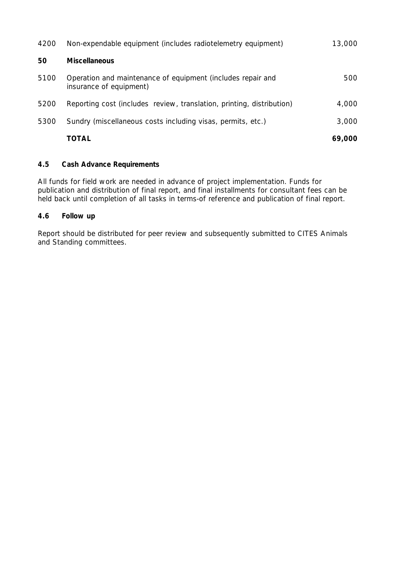| 4200 | Non-expendable equipment (includes radiotelemetry equipment)                           | 13,000 |
|------|----------------------------------------------------------------------------------------|--------|
| 50   | <b>Miscellaneous</b>                                                                   |        |
| 5100 | Operation and maintenance of equipment (includes repair and<br>insurance of equipment) | 500    |
| 5200 | Reporting cost (includes review, translation, printing, distribution)                  | 4,000  |
| 5300 | Sundry (miscellaneous costs including visas, permits, etc.)                            | 3,000  |
|      | <b>TOTAL</b>                                                                           | 69,000 |

# **4.5 Cash Advance Requirements**

All funds for field work are needed in advance of project implementation. Funds for publication and distribution of final report, and final installments for consultant fees can be held back until completion of all tasks in terms-of reference and publication of final report.

# **4.6 Follow up**

Report should be distributed for peer review and subsequently submitted to CITES Animals and Standing committees.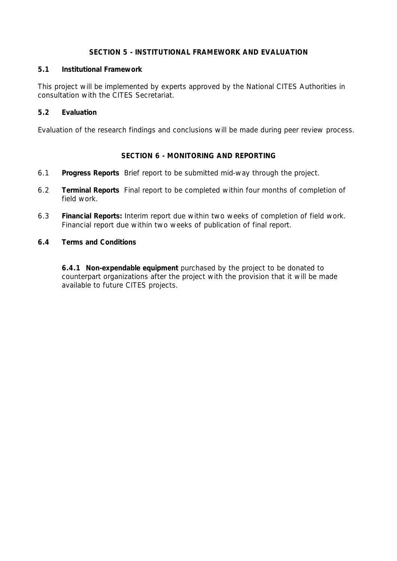## **SECTION 5 - INSTITUTIONAL FRAMEWORK AND EVALUATION**

# **5.1 Institutional Framework**

This project will be implemented by experts approved by the National CITES Authorities in consultation with the CITES Secretariat.

# **5.2 Evaluation**

Evaluation of the research findings and conclusions will be made during peer review process.

# **SECTION 6 - MONITORING AND REPORTING**

- 6.1 **Progress Reports** Brief report to be submitted mid-way through the project.
- 6.2 **Terminal Reports** Final report to be completed within four months of completion of field work.
- 6.3 **Financial Reports:** Interim report due within two weeks of completion of field work. Financial report due within two weeks of publication of final report.
- **6.4 Terms and Conditions**

 **6.4.1 Non-expendable equipment** purchased by the project to be donated to counterpart organizations after the project with the provision that it will be made available to future CITES projects.